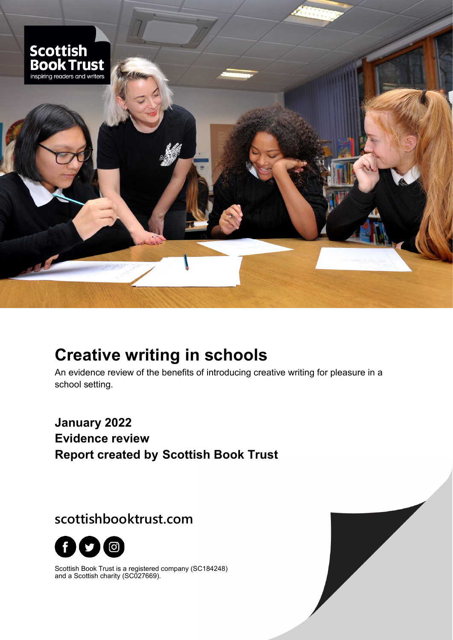

# **Creative writing in schools**

An evidence review of the benefits of introducing creative writing for pleasure in a school setting.

**January 2022 Evidence review Report created by Scottish Book Trust**

**scottishbooktrust.com**



Scottish Book Trust is a registered company (SC184248) and a Scottish charity (SC027669).

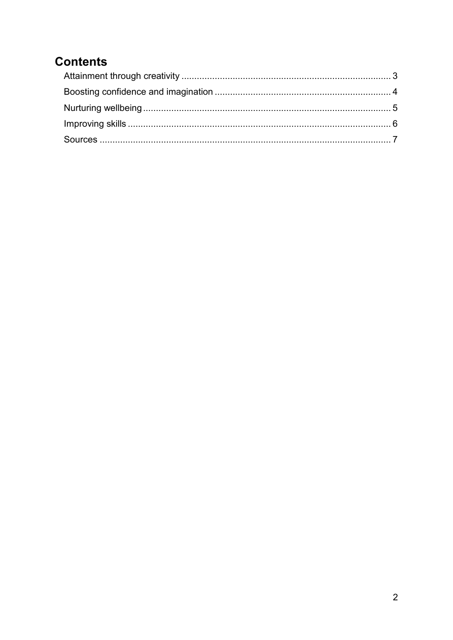## **Contents**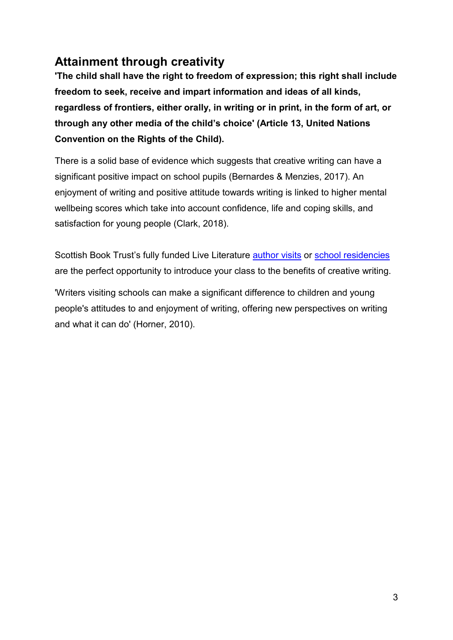## <span id="page-2-0"></span>**Attainment through creativity**

**'The child shall have the right to freedom of expression; this right shall include freedom to seek, receive and impart information and ideas of all kinds, regardless of frontiers, either orally, in writing or in print, in the form of art, or through any other media of the child's choice' (Article 13, United Nations Convention on the Rights of the Child).**

There is a solid base of evidence which suggests that creative writing can have a significant positive impact on school pupils (Bernardes & Menzies, 2017). An enjoyment of writing and positive attitude towards writing is linked to higher mental wellbeing scores which take into account confidence, life and coping skills, and satisfaction for young people (Clark, 2018).

Scottish Book Trust's fully funded Live Literature [author visits](https://www.scottishbooktrust.com/writing-and-authors/live-literature/about-live-literature) or [school residencies](https://www.scottishbooktrust.com/writing-and-authors/live-literature/school-residencies) are the perfect opportunity to introduce your class to the benefits of creative writing.

'Writers visiting schools can make a significant difference to children and young people's attitudes to and enjoyment of writing, offering new perspectives on writing and what it can do' (Horner, 2010).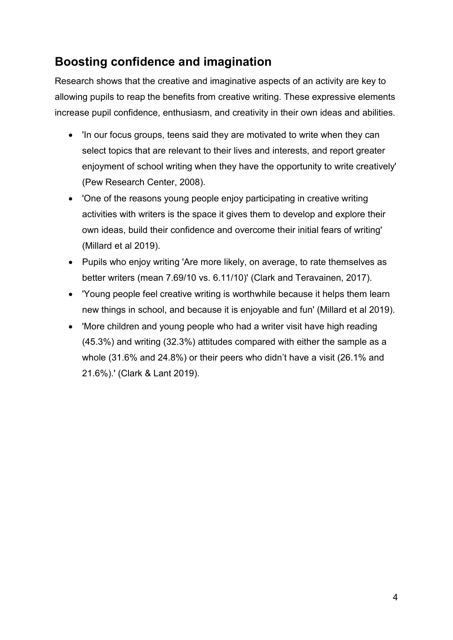### <span id="page-3-0"></span>**Boosting confidence and imagination**

Research shows that the creative and imaginative aspects of an activity are key to allowing pupils to reap the benefits from creative writing. These expressive elements increase pupil confidence, enthusiasm, and creativity in their own ideas and abilities.

- 'In our focus groups, teens said they are motivated to write when they can select topics that are relevant to their lives and interests, and report greater enjoyment of school writing when they have the opportunity to write creatively' (Pew Research Center, 2008).
- 'One of the reasons young people enjoy participating in creative writing activities with writers is the space it gives them to develop and explore their own ideas, build their confidence and overcome their initial fears of writing' (Millard et al 2019).
- Pupils who enjoy writing 'Are more likely, on average, to rate themselves as better writers (mean 7.69/10 vs. 6.11/10)' (Clark and Teravainen, 2017).
- 'Young people feel creative writing is worthwhile because it helps them learn new things in school, and because it is enjoyable and fun' (Millard et al 2019).
- 'More children and young people who had a writer visit have high reading (45.3%) and writing (32.3%) attitudes compared with either the sample as a whole (31.6% and 24.8%) or their peers who didn't have a visit (26.1% and 21.6%).' (Clark & Lant 2019).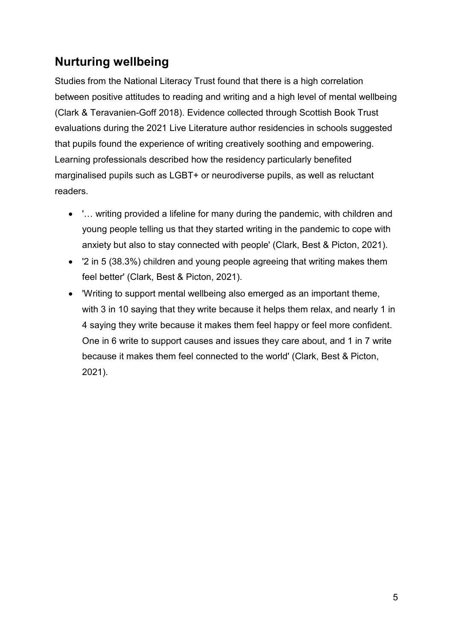## <span id="page-4-0"></span>**Nurturing wellbeing**

Studies from the National Literacy Trust found that there is a high correlation between positive attitudes to reading and writing and a high level of mental wellbeing (Clark & Teravanien-Goff 2018). Evidence collected through Scottish Book Trust evaluations during the 2021 Live Literature author residencies in schools suggested that pupils found the experience of writing creatively soothing and empowering. Learning professionals described how the residency particularly benefited marginalised pupils such as LGBT+ or neurodiverse pupils, as well as reluctant readers.

- '… writing provided a lifeline for many during the pandemic, with children and young people telling us that they started writing in the pandemic to cope with anxiety but also to stay connected with people' (Clark, Best & Picton, 2021).
- '2 in 5 (38.3%) children and young people agreeing that writing makes them feel better' (Clark, Best & Picton, 2021).
- 'Writing to support mental wellbeing also emerged as an important theme, with 3 in 10 saying that they write because it helps them relax, and nearly 1 in 4 saying they write because it makes them feel happy or feel more confident. One in 6 write to support causes and issues they care about, and 1 in 7 write because it makes them feel connected to the world' (Clark, Best & Picton, 2021).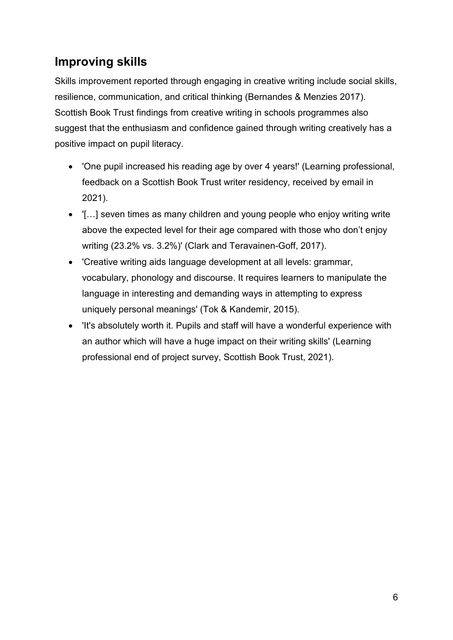### <span id="page-5-0"></span>**Improving skills**

Skills improvement reported through engaging in creative writing include social skills, resilience, communication, and critical thinking (Bernandes & Menzies 2017). Scottish Book Trust findings from creative writing in schools programmes also suggest that the enthusiasm and confidence gained through writing creatively has a positive impact on pupil literacy.

- 'One pupil increased his reading age by over 4 years!' (Learning professional, feedback on a Scottish Book Trust writer residency, received by email in 2021).
- '[…] seven times as many children and young people who enjoy writing write above the expected level for their age compared with those who don't enjoy writing (23.2% vs. 3.2%)' (Clark and Teravainen-Goff, 2017).
- 'Creative writing aids language development at all levels: grammar, vocabulary, phonology and discourse. It requires learners to manipulate the language in interesting and demanding ways in attempting to express uniquely personal meanings' (Tok & Kandemir, 2015).
- 'It's absolutely worth it. Pupils and staff will have a wonderful experience with an author which will have a huge impact on their writing skills' (Learning professional end of project survey, Scottish Book Trust, 2021).